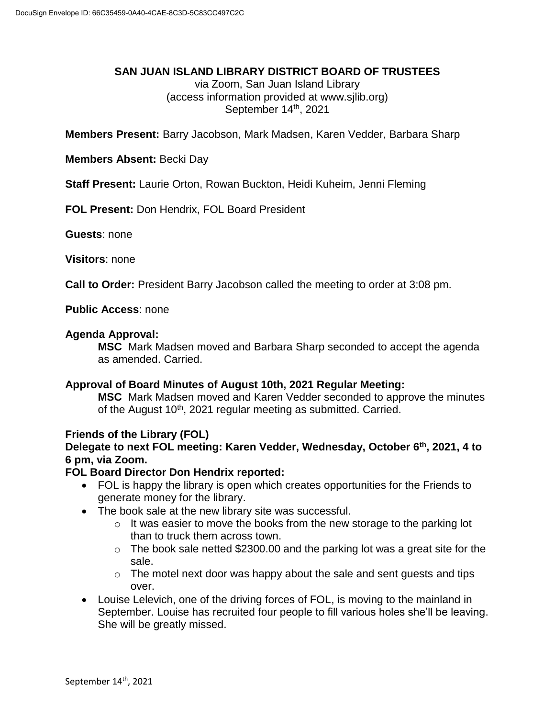### **SAN JUAN ISLAND LIBRARY DISTRICT BOARD OF TRUSTEES**

via Zoom, San Juan Island Library (access information provided at www.sjlib.org) September 14<sup>th</sup>, 2021

**Members Present:** Barry Jacobson, Mark Madsen, Karen Vedder, Barbara Sharp

### **Members Absent:** Becki Day

**Staff Present:** Laurie Orton, Rowan Buckton, Heidi Kuheim, Jenni Fleming

**FOL Present:** Don Hendrix, FOL Board President

**Guests**: none

**Visitors**: none

**Call to Order:** President Barry Jacobson called the meeting to order at 3:08 pm.

**Public Access**: none

### **Agenda Approval:**

**MSC** Mark Madsen moved and Barbara Sharp seconded to accept the agenda as amended. Carried.

### **Approval of Board Minutes of August 10th, 2021 Regular Meeting:**

**MSC** Mark Madsen moved and Karen Vedder seconded to approve the minutes of the August 10<sup>th</sup>, 2021 regular meeting as submitted. Carried.

### **Friends of the Library (FOL)**

### **Delegate to next FOL meeting: Karen Vedder, Wednesday, October 6th , 2021, 4 to 6 pm, via Zoom.**

### **FOL Board Director Don Hendrix reported:**

- FOL is happy the library is open which creates opportunities for the Friends to generate money for the library.
- The book sale at the new library site was successful.
	- o It was easier to move the books from the new storage to the parking lot than to truck them across town.
	- $\circ$  The book sale netted \$2300.00 and the parking lot was a great site for the sale.
	- $\circ$  The motel next door was happy about the sale and sent quests and tips over.
- Louise Lelevich, one of the driving forces of FOL, is moving to the mainland in September. Louise has recruited four people to fill various holes she'll be leaving. She will be greatly missed.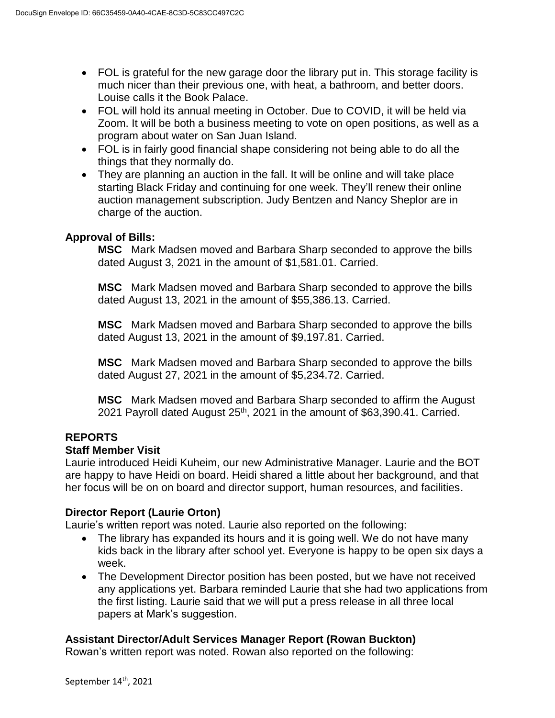- FOL is grateful for the new garage door the library put in. This storage facility is much nicer than their previous one, with heat, a bathroom, and better doors. Louise calls it the Book Palace.
- FOL will hold its annual meeting in October. Due to COVID, it will be held via Zoom. It will be both a business meeting to vote on open positions, as well as a program about water on San Juan Island.
- FOL is in fairly good financial shape considering not being able to do all the things that they normally do.
- They are planning an auction in the fall. It will be online and will take place starting Black Friday and continuing for one week. They'll renew their online auction management subscription. Judy Bentzen and Nancy Sheplor are in charge of the auction.

## **Approval of Bills:**

**MSC** Mark Madsen moved and Barbara Sharp seconded to approve the bills dated August 3, 2021 in the amount of \$1,581.01. Carried.

**MSC** Mark Madsen moved and Barbara Sharp seconded to approve the bills dated August 13, 2021 in the amount of \$55,386.13. Carried.

**MSC** Mark Madsen moved and Barbara Sharp seconded to approve the bills dated August 13, 2021 in the amount of \$9,197.81. Carried.

**MSC** Mark Madsen moved and Barbara Sharp seconded to approve the bills dated August 27, 2021 in the amount of \$5,234.72. Carried.

**MSC** Mark Madsen moved and Barbara Sharp seconded to affirm the August 2021 Payroll dated August  $25<sup>th</sup>$ , 2021 in the amount of \$63,390.41. Carried.

# **REPORTS**

## **Staff Member Visit**

Laurie introduced Heidi Kuheim, our new Administrative Manager. Laurie and the BOT are happy to have Heidi on board. Heidi shared a little about her background, and that her focus will be on on board and director support, human resources, and facilities.

## **Director Report (Laurie Orton)**

Laurie's written report was noted. Laurie also reported on the following:

- The library has expanded its hours and it is going well. We do not have many kids back in the library after school yet. Everyone is happy to be open six days a week.
- The Development Director position has been posted, but we have not received any applications yet. Barbara reminded Laurie that she had two applications from the first listing. Laurie said that we will put a press release in all three local papers at Mark's suggestion.

## **Assistant Director/Adult Services Manager Report (Rowan Buckton)**

Rowan's written report was noted. Rowan also reported on the following: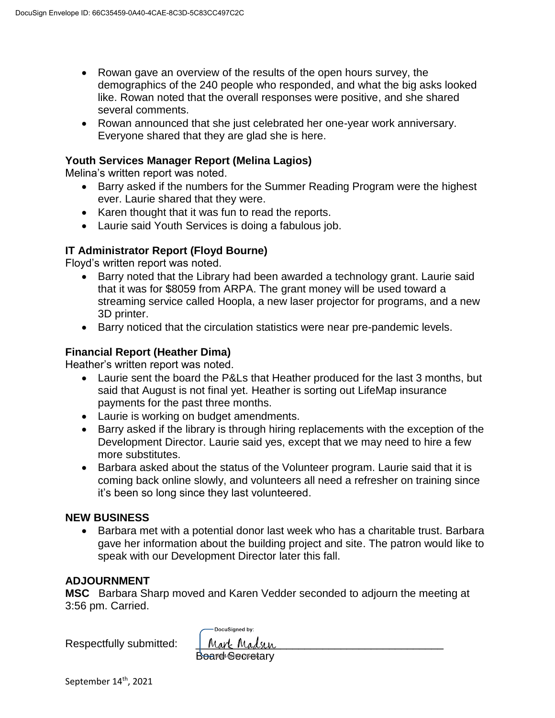- Rowan gave an overview of the results of the open hours survey, the demographics of the 240 people who responded, and what the big asks looked like. Rowan noted that the overall responses were positive, and she shared several comments.
- Rowan announced that she just celebrated her one-year work anniversary. Everyone shared that they are glad she is here.

### **Youth Services Manager Report (Melina Lagios)**

Melina's written report was noted.

- Barry asked if the numbers for the Summer Reading Program were the highest ever. Laurie shared that they were.
- Karen thought that it was fun to read the reports.
- Laurie said Youth Services is doing a fabulous job.

### **IT Administrator Report (Floyd Bourne)**

Floyd's written report was noted.

- Barry noted that the Library had been awarded a technology grant. Laurie said that it was for \$8059 from ARPA. The grant money will be used toward a streaming service called Hoopla, a new laser projector for programs, and a new 3D printer.
- Barry noticed that the circulation statistics were near pre-pandemic levels.

### **Financial Report (Heather Dima)**

Heather's written report was noted.

- Laurie sent the board the P&Ls that Heather produced for the last 3 months, but said that August is not final yet. Heather is sorting out LifeMap insurance payments for the past three months.
- Laurie is working on budget amendments.
- Barry asked if the library is through hiring replacements with the exception of the Development Director. Laurie said yes, except that we may need to hire a few more substitutes.
- Barbara asked about the status of the Volunteer program. Laurie said that it is coming back online slowly, and volunteers all need a refresher on training since it's been so long since they last volunteered.

### **NEW BUSINESS**

• Barbara met with a potential donor last week who has a charitable trust. Barbara gave her information about the building project and site. The patron would like to speak with our Development Director later this fall.

### **ADJOURNMENT**

**MSC** Barbara Sharp moved and Karen Vedder seconded to adjourn the meeting at 3:56 pm. Carried.

Respectfully submitted:

| -DocuSigned by:    |  |
|--------------------|--|
| <u>Mark Madsen</u> |  |
| Board Secretary    |  |

September 14<sup>th</sup>, 2021